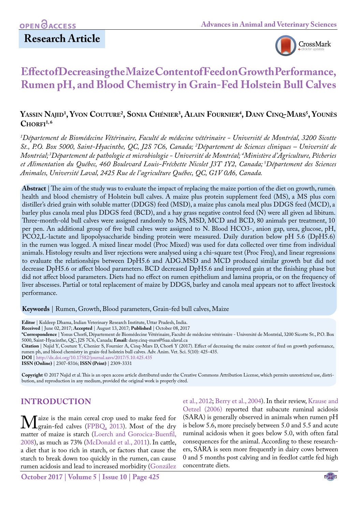# **Research Article**



# **Effect of Decreasing the Maize Content of Feed on Growth Performance, Rumen pH, and Blood Chemistry in Grain-Fed Holstein Bull Calves**

## **Yassin Najid1 , Yvon Couture2 , Sonia Chénier3 , Alain Fournier4 , Dany Cinq-Mars5 , Younès**  $CHORFI<sup>1,6</sup>$

<sup>1</sup>Département de Biomédecine Vétérinaire, Faculté de médecine vétérinaire - Université de Montréal, 3200 Sicotte *St., P.O. Box 5000, Saint-Hyacinthe, QC, J2S 7C6, Canada; 2 Département de Sciences cliniques – Université de Montréal; 3Département de pathologie et microbiologie - Université de Montréal; 4 Ministère d'Agriculture, Pêcheries et Alimentation du Québec, 460 Boulevard Louis-Fréchette Nicolet J3T 1Y2, Canada; 5Département des Sciences Animales, Université Laval, 2425 Rue de l'agriculture Québec, QC, G1V 0A6, Canada.*

**Abstract** | The aim of the study was to evaluate the impact of replacing the maize portion of the diet on growth, rumen health and blood chemistry of Holstein bull calves. A maize plus protein supplement feed (MS), a MS plus corn distiller's dried grain with soluble matter (DDGS) feed (MSD), a maize plus canola meal plus DDGS feed (MCD), a barley plus canola meal plus DDGS feed (BCD), and a hay grass negative control feed (N) were all given ad libitum. Three-month-old bull calves were assigned randomly to MS, MSD, MCD and BCD, 80 animals per treatment, 10 per pen. An additional group of five bull calves were assigned to N. Blood HCO3-, anion gap, urea, glucose, pH, PCO2,L-lactate and lipopolysaccharide binding protein were measured. Daily duration below pH 5.6 (DpH5.6) in the rumen was logged. A mixed linear model (Proc Mixed) was used for data collected over time from individual animals. Histology results and liver rejections were analysed using a chi-square test (Proc Freq), and linear regressions to evaluate the relationships between DpH5.6 and ADG.MSD and MCD produced similar growth but did not decrease DpH5.6 or affect blood parameters. BCD decreased DpH5.6 and improved gain at the finishing phase but did not affect blood parameters. Diets had no effect on rumen epithelium and lamina propria, or on the frequency of liver abscesses. Partial or total replacement of maize by DDGS, barley and canola meal appears not to affect livestock performance.

**Keywords** | Rumen, Growth, Blood parameters, Grain-fed bull calves, Maize

**Citation** | Najid Y, Couture Y, Chenier S, Fournier A, Cinq-Mars D, Chorfi Y (2017). Effect of decreasing the maize content of feed on growth performance, rumen ph, and blood chemistry in grain-fed holstein bull calves. Adv. Anim. Vet. Sci. 5(10): 425-435.

**DOI** | <http://dx.doi.org/10.17582/journal.aavs/2017/5.10.425.435>

**ISSN (Online)** | 2307-8316; **ISSN (Print)** | 2309-3331

**Copyright** © 2017 Najid et al. This is an open access article distributed under the Creative Commons Attribution License, which permits unrestricted use, distribution, and reproduction in any medium, provided the original work is properly cited.

## **Introduction**

Maize is the main cereal crop used to make feed for<br>
grain-fed calves (FPBQ, 2013). Most of the dry<br>
matter of maize is starch (Loerch and Gorocica-Buenfil. matter of maize is starch [\(Loerch and Gorocica-Buenfil,](#page-9-0)  [2008](#page-9-0)), as much as 73% ([McDonald et al., 2011](#page-9-1)). In cattle, a diet that is too rich in starch, or factors that cause the starch to break down too quickly in the rumen, can cause rumen acidosis and lead to increased morbidity (González

et al., 2012; [Berry et al., 2004\)](#page-8-0). In their review, [Krause and](#page-9-2) [Oetzel \(2006\)](#page-9-2) reported that subacute ruminal acidosis (SARA) is generally observed in animals when rumen pH is below 5.6, more precisely between 5.0 and 5.5 and acute ruminal acidosis when it goes below 5.0, with often fatal consequences for the animal. According to these researchers, SARA is seen more frequently in dairy cows between 0 and 5 months post calving and in feedlot cattle fed high concentrate diets.

**Editor** | Kuldeep Dhama, Indian Veterinary Research Institute, Uttar Pradesh, India.

**Received** | June 02, 2017; **Accepted** | August 13, 2017; **Published** | October 08, 2017

**<sup>\*</sup>Correspondence** | Yonus Chorfi, Département de Biomédecine Vétérinaire, Faculté de médecine vétérinaire - Université de Montréal, 3200 Sicotte St., P.O. Box 5000, Saint-Hyacinthe, QC, J2S 7C6, Canada*;* **Email:** dany.cinq-mars@fsaa.ulaval.ca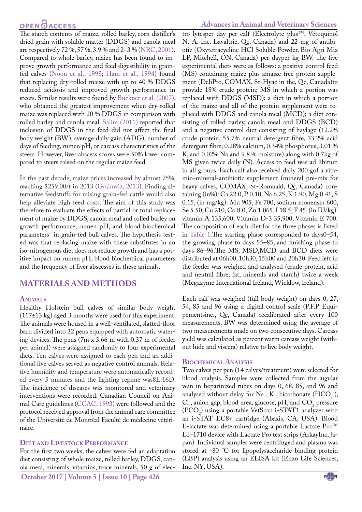The starch contents of maize, rolled barley, corn distiller's dried grain with soluble matter (DDGS) and canola meal are respectively 72 %, 57 %, 3.9 % and 2–3 % [\(NRC, 2001](#page-9-3)). Compared to whole barley, maize has been found to improve growth performance and feed digestibility in grainfed calves [\(Noon et al., 1998](#page-9-4); [Ham et al., 1994\)](#page-9-5) found that replacing dry-rolled maize with up to 40 % DDGS reduced acidosis and improved growth performance in steers. Similar results were found by [Buckner et al. \(2007\)](#page-8-1), who obtained the greatest improvement when dry-rolled maize was replaced with 20 % DDGS in comparison with rolled barley and canola meal. Salim (2011) reported that inclusion of DDGS in the feed did not affect the final body weight (BW), average daily gain (ADG), number of days of feeding, rumen pH, or carcass characteristics of the steers. However, liver abscess scores were 50% lower compared to steers raised on the regular maize feed.

In the past decade, maize prices increased by almost 75%, reaching \$259.00/t in 2013 (Grainwiz, 2013). Finding alternative feedstuffs for raising grain-fed cattle would also help alleviate high feed costs. The aim of this study was therefore to evaluate the effects of partial or total replacement of maize by DDGS, canola meal and rolled barley on growth performance, rumen pH, and blood biochemical parameters in grain-fed bull calves. The hypothesis tested was that replacing maize with these substitutes in an iso-nitrogenous diet does not reduce growth and has a positive impact on rumen pH, blood biochemical parameters and the frequency of liver abscesses in these animals.

## **Materials and Methods**

#### **Animals**

Healthy Holstein bull calves of similar body weight (117±13 kg) aged 3 months were used for this experiment. The animals were housed in a well-ventilated, slatted-floor barn divided into 32 pens equipped with automatic watering devices. The pens (7m x 3.66 m with 0.37 m of feeder per animal) were assigned randomly to four experimental diets. Ten calves were assigned to each pen and an additional five calves served as negative control animals. Relative humidity and temperature were automatically recorded every 5 minutes and the lighting regime was8L:16D. The incidence of diseases was monitored and veterinary interventions were recorded. Canadian Council on Animal Care guidelines [\(CCAC, 1993\)](#page-8-2) were followed and the protocol received approval from the animal care committee of the Université de Montréal Faculté de médecine vétérinaire.

#### **Diet and Livestock Performance**

For the first two weeks, the calves were fed an adaptation diet consisting of whole maize, rolled barley, DDGS, canola meal, minerals, vitamins, trace minerals, 50 g of electro lytesper day per calf (Electrolyte plus™, Vétoquinol N.-A. Inc. Lavaltrie, Qc, Canada) and 22 mg of antibiotic (Oxytetracycline HCl Soluble Powder, Bio Agri Mix LP, Mitchell, ON, Canada) per dayper kg BW. The five experimental diets were as follows: a positive control feed (MS) containing maize plus amaize-free protein supplement (DeliPro, COMAX, St-Hyac in the, Qc, Canada)to provide 18% crude protein; MS in which a portion was replaced with DDGS (MSD); a diet in which a portion of the maize and all of the protein supplement were replaced with DDGS and canola meal (MCD); a diet consisting of rolled barley, canola meal and DDGS (BCD) and a negative control diet consisting of haylage (12.2% crude protein, 55.7% neutral detergent fibre, 33.2% acid detergent fibre, 0.28% calcium, 0.34% phosphorus, 3.01 % K, and 0.02% Na and 9.8 % moisture) along with 0.7kg of MS given twice daily (N). Access to feed was ad libitum in all groups. Each calf also received daily 200 gof a vitamin-mineral-antibiotic supplement (mineral pre-mix for heavy calves, COMAX, St-Romuald, Qc, Canada) containing (in%): Ca 22.0, P 0.10, Na 6.25, K 1.90, Mg 0.41, S 0.15, (in mg/kg): Mn 905, Fe 700, sodium monensin 600, Se 5.50, Cu 210, Co 8.0, Zn 1.065, I 18.5, F 45, (in IU/kg): vitamin A 135,600, Vitamin D-3 35,900, Vitamin E 700. The composition of each diet for the three phases is listed in [Table 1](#page-4-0).The starting phase corresponded to days0–54, the growing phase to days 55–85, and finishing phase to days 86–96.The MS, MSD,MCD and BCD diets were distributed at 06h00, 10h30, 15h00 and 20h30. Feed left in the feeder was weighed and analysed (crude protein, acid and neutral fibre, fat, minerals and starch) twice a week (Megazyme International Ireland, Wicklow, Ireland).

Each calf was weighed (full body weight) on days 0, 27, 54, 85 and 96 using a digital control scale (P.F.P Equipementsinc., Qc, Canada) recalibrated after every 100 measurements. BW was determined using the average of two measurements made on two consecutive days. Carcass yield was calculated as percent warm carcass weight (without hide and viscera) relative to live body weight.

#### **Biochemical Analysis**

Two calves per pen (14 calves/treatment) were selected for blood analysis. Samples were collected from the jugular vein in heparinized tubes on days 0, 68, 85, and 96 and analysed without delay for Na<sup>+</sup>, K<sup>+</sup>, bicarbonate  $(HCO<sub>3</sub>$ <sup>-</sup>),  $Cl$ , anion gap, blood urea, glucose, pH, and  $CO<sub>2</sub>$  pressure  $(PCO<sub>2</sub>)$  using a portable VetScan i-STAT1 analyzer with an i-STAT EC8+ cartridge (Abaxis, CA, USA). Blood L-lactate was determined using a portable Lactate Pro™ LT-1710 device with Lactate Pro test strips (ArkayInc, Japan). Individual samples were centrifuged and plasma was stored at -80 °C for lipopolysaccharide binding protein (LBP) analysis using an ELISA kit (Enzo Life Sciences, Inc. NY, USA).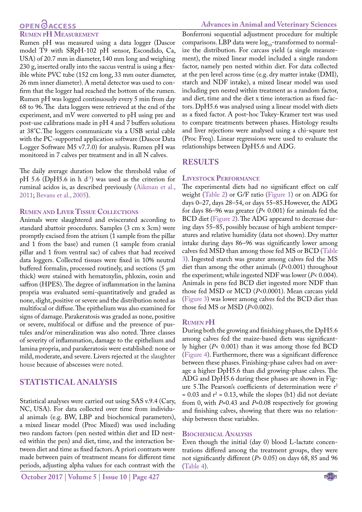## **OPEN**OACCESS

#### **Rumen pH Measurement**

Rumen pH was measured using a data logger (Dascor model T9 with SRpH-102 pH sensor, Escondido, Ca, USA) of 20.7 mm in diameter, 140 mm long and weighing 230 g, inserted orally into the saccus ventral is using a flexible white PVC tube (152 cm long, 33 mm outer diameter, 26 mm inner diameter). A metal detector was used to confirm that the logger had reached the bottom of the rumen. Rumen pH was logged continuously every 5 min from day 68 to 96. The data loggers were retrieved at the end of the experiment, and mV were converted to pH using pre and post-use calibrations made in pH 4 and 7 buffers solutions at 38°C.The loggers communicate via a USB serial cable with the PC-supported application software (Dascor Data Logger Software M5 v7.7.0) for analysis. Rumen pH was monitored in 7 calves per treatment and in all N calves.

The daily average duration below the threshold value of pH 5.6 (DpH5.6 in h  $d^{-1}$ ) was used as the criterion for ruminal acidos is, as described previously [\(Aikman et al.,](#page-8-3) [2011](#page-8-3); [Bevans et al., 2005\)](#page-8-4).

#### **Rumen and Liver Tissue Collections**

Animals were slaughtered and eviscerated according to standard abattoir procedures. Samples (3 cm x 3cm) were promptly excised from the atrium (1 sample from the pillar and 1 from the base) and rumen (1 sample from cranial pillar and 1 from ventral sac) of calves that had received data loggers. Collected tissues were fixed in 10% neutral buffered formalin, processed routinely, and sections (5 µm thick) were stained with hematoxylin, phloxin, eosin and saffron (HPES). The degree of inflammation in the lamina propria was evaluated semi-quantitatively and graded as none, slight, positive or severe and the distribution noted as multifocal or diffuse. The epithelium was also examined for signs of damage. Parakeratosis was graded as none, positive or severe, multifocal or diffuse and the presence of pustules and/or mineralization was also noted. Three classes of severity of inflammation, damage to the epithelium and lamina propria, and parakeratosis were established: none or mild, moderate, and severe. Livers rejected at the slaughter house because of abscesses were noted.

#### **Statistical analysis**

Statistical analyses were carried out using SAS v.9.4 (Cary, NC, USA). For data collected over time from individual animals (e.g. BW, LBP and biochemical parameters), a mixed linear model (Proc Mixed) was used including two random factors (pen nested within diet and ID nested within the pen) and diet, time, and the interaction between diet and time as fixed factors. A priori contrasts were made between pairs of treatment means for different time periods, adjusting alpha values for each contrast with the

Bonferroni sequential adjustment procedure for multiple comparisons. LBP data were  $log_{10}$ -transformed to normalize the distribution. For carcass yield (a single measurement), the mixed linear model included a single random factor, namely pen nested within diet. For data collected at the pen level across time (e.g. dry matter intake (DMI), starch and NDF intake), a mixed linear model was used including pen nested within treatment as a random factor, and diet, time and the diet x time interaction as fixed factors. DpH5.6 was analysed using a linear model with diets as a fixed factor. A post-hoc Tukey-Kramer test was used to compare treatments between phases. Histology results and liver rejections were analysed using a chi-square test (Proc Freq). Linear regressions were used to evaluate the relationships between DpH5.6 and ADG.

## **Results**

#### **Livestock Performance**

The experimental diets had no significant effect on calf weight ([Table 2](#page-4-1)) or G/F ratio (Figure 1) or on ADG for days 0–27, days 28–54, or days 55–85.However, the ADG for days 86–96 was greater (*P*< 0.001) for animals fed the BCD diet (Figure 2). The ADG appeared to decrease during days 55–85, possibly because of high ambient temperatures and relative humidity (data not shown). Dry matter intake during days 86–96 was significantly lower among calves fed MSD than among those fed MS or BCD ([Table](#page-5-0)  [3](#page-5-0)). Ingested starch was greater among calves fed the MS diet than among the other animals (*P*<0.001) throughout the experiment; while ingested NDF was lower (*P*< 0.004). Animals in pens fed BCD diet ingested more NDF than those fed MSD or MCD (*P*<0.0001). Mean carcass yield (Figure 3) was lower among calves fed the BCD diet than those fed MS or MSD (*P*<0.002).

#### **Rumen pH**

During both the growing and finishing phases, the DpH5.6 among calves fed the maize-based diets was significantly higher (*P*< 0.001) than it was among those fed BCD (Figure 4). Furthermore, there was a significant difference between these phases. Finishing-phase calves had on average a higher DpH5.6 than did growing-phase calves. The ADG and DpH5.6 during these phases are shown in Figure 5. The Pearson's coefficients of determination were  $r^2$  $= 0.03$  and  $r^2 = 0.13$ , while the slopes (b1) did not deviate from 0, with *P*=0.43 and *P*=0.08 respectively for growing and finishing calves, showing that there was no relationship between these variables.

#### **Biochemical Analysis**

Even though the initial (day 0) blood L-lactate concentrations differed among the treatment groups, they were not significantly different (*P*> 0.05) on days 68, 85 and 96 [\(Table 4](#page-5-1)).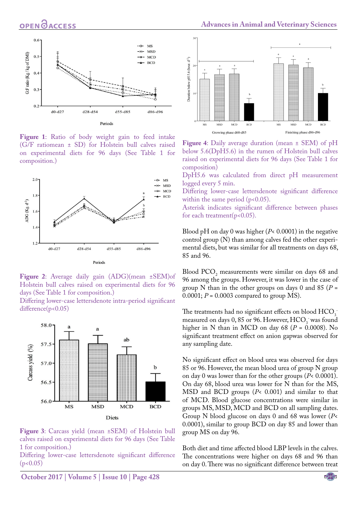

**Figure 1**: Ratio of body weight gain to feed intake (G/F ratiomean ± SD) for Holstein bull calves raised on experimental diets for 96 days (See Table 1 for composition.)



**Figure 2**: Average daily gain (ADG)(mean ±SEM)of Holstein bull calves raised on experimental diets for 96 days (See Table 1 for composition.)

Differing lower-case lettersdenote intra-period significant difference(p<0.05)



**Figure 3**: Carcass yield (mean ±SEM) of Holstein bull calves raised on experimental diets for 96 days (See Table 1 for composition.)

Differing lower-case lettersdenote significant difference  $(p<0.05)$ 



**Figure 4**: Daily average duration (mean ± SEM) of pH below 5.6(DpH5.6) in the rumen of Holstein bull calves raised on experimental diets for 96 days (See Table 1 for composition)

DpH5.6 was calculated from direct pH measurement logged every 5 min.

Differing lower-case lettersdenote significant difference within the same period  $(p<0.05)$ .

Asterisk indicates significant difference between phases for each treatment( $p<0.05$ ).

Blood pH on day 0 was higher (*P*< 0.0001) in the negative control group (N) than among calves fed the other experimental diets, but was similar for all treatments on days 68, 85 and 96.

Blood  $PCO<sub>2</sub>$  measurements were similar on days 68 and 96 among the groups. However, it was lower in the case of group N than in the other groups on days 0 and 85 (*P* = 0.0001;  $P = 0.0003$  compared to group MS).

The treatments had no significant effects on blood  $\text{HCO}_3^$ measured on days  $0, 85$  or  $96$ . However,  $\text{HCO}_3$  was found higher in N than in MCD on day 68 ( $P = 0.0008$ ). No significant treatment effect on anion gapwas observed for any sampling date.

No significant effect on blood urea was observed for days 85 or 96. However, the mean blood urea of group N group on day 0 was lower than for the other groups (*P*< 0.0001). On day 68, blood urea was lower for N than for the MS, MSD and BCD groups (*P*< 0.001) and similar to that of MCD. Blood glucose concentrations were similar in groups MS, MSD, MCD and BCD on all sampling dates. Group N blood glucose on days 0 and 68 was lower (*P*< 0.0001), similar to group BCD on day 85 and lower than group MS on day 96.

Both diet and time affected blood LBP levels in the calves. The concentrations were higher on days 68 and 96 than on day 0. There was no significant difference between treat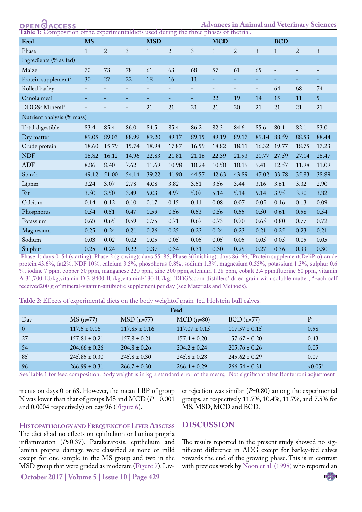<span id="page-4-0"></span>**ACCESS** 

**Advances in Animal and Veterinary Sciences** experimentaldiets used during the three phases of thetrial

| Feed                                   | <b>MS</b>    |                |                          | <b>MSD</b>   |                |              | <b>MCD</b>  |                |                   | <b>BCD</b>   |                |                |
|----------------------------------------|--------------|----------------|--------------------------|--------------|----------------|--------------|-------------|----------------|-------------------|--------------|----------------|----------------|
| Phase <sup>1</sup>                     | $\mathbf{1}$ | $\overline{a}$ | 3                        | $\mathbf{1}$ | $\overline{2}$ | $\sqrt{3}$   | $\mathbf 1$ | $\overline{2}$ | 3                 | $\mathbf{1}$ | $\overline{2}$ | $\mathfrak{Z}$ |
| Ingredients (% as fed)                 |              |                |                          |              |                |              |             |                |                   |              |                |                |
| Maize                                  | 70           | 73             | 78                       | 61           | 63             | 68           | 57          | 61             | 65                |              |                |                |
| Protein supplement <sup>2</sup>        | 30           | 27             | 22                       | 18           | 16             | 11           | Ξ.          |                | -                 |              |                | Ξ.             |
| Rolled barley                          |              |                |                          |              |                |              |             | $\equiv$       | $\qquad \qquad -$ | 64           | 68             | 74             |
| Canola meal                            | Ξ            |                | ۰                        | 4            | 4              | ٠            | 22          | 19             | 14                | 15           | 11             | 5 <sup>5</sup> |
| DDGS <sup>3</sup> Mineral <sup>4</sup> |              |                | $\overline{\phantom{0}}$ | 21           | 21             | 21           | 21          | 20             | 21                | 21           | 21             | 21             |
| Nutrient analysis (% mass)             |              |                |                          |              |                |              |             |                |                   |              |                |                |
| Total digestible                       | 83.4         | 85.4           | 86.0                     | 84.5         | 85.4           | 86.2         | 82.3        | 84.6           | 85.6              | 80.1         | 82.1           | 83.0           |
| Dry matter                             | 89.05        | 89.03          | 88.99                    | 89.20        | 89.17          | 89.15        | 89.19       | 89.17          | 89.14             | 88.59        | 88.53          | 88.44          |
| Crude protein                          | 18.60        | 15.79          | 15.74                    | 18.98        | 17.87          | 16.59        | 18.82       | 18.11          | 16.32             | 19.77        | 18.75          | 17.23          |
| <b>NDF</b>                             | 16.82        | 16.12          | 14.96                    | 22.83        | 21.81          | 21.16        | 22.39       | 21.93          | 20.77             | 27.59        | 27.14          | 26.47          |
| ADF                                    | 8.86         | 8.40           | 7.62                     | 11.69        | 10.98          | 10.24        | 10.50       | 10.19          | 9.41              | 12.57        | 11.98          | 11.09          |
| Starch                                 | 49.12        | 51.00          | 54.14                    | 39.22        | 41.90          | 44.57        | 42.63       | 43.89          | 47.02             | 33.78        | 35.83          | 38.89          |
| Lignin                                 | 3.24         | 3.07           | 2.78                     | 4.08         | 3.82           | 3.51         | 3.56        | 3.44           | 3.16              | 3.61         | 3.32           | 2.90           |
| Fat                                    | 3.50         | 3.50           | 3.49                     | 5.03         | 4.97           | 5.07         | 5.14        | 5.14           | 5.14              | 3.95         | 3.90           | 3.82           |
| Calcium                                | 0.14         | 0.12           | 0.10                     | 0.17         | 0.15           | 0.11         | 0.08        | 0.07           | 0.05              | 0.16         | 0.13           | 0.09           |
| Phosphorus                             | 0.54         | 0.51           | 0.47                     | 0.59         | 0.56           | 0.53         | 0.56        | 0.55           | 0.50              | 0.61         | 0.58           | 0.54           |
| Potassium                              | 0.68         | 0.65           | 0.59                     | 0.75         | 0.71           | 0.67         | 0.73        | 0.70           | 0.65              | 0.80         | 0.77           | 0.72           |
| Magnesium                              | 0.25         | 0.24           | 0.21                     | 0.26         | 0.25           | 0.23         | 0.24        | 0.23           | 0.21              | 0.25         | 0.23           | 0.21           |
| Sodium                                 | 0.03         | 0.02           | 0.02                     | 0.05         | 0.05           | 0.05         | 0.05        | 0.05           | 0.05              | 0.05         | 0.05           | 0.05           |
| $\mathsf{C}$ ulnhur                    | $\Omega$ 25  | 0.24           | $\Omega$ 22              | 0.37         | 0.34           | $\bigcap$ 21 | 0.30        | 0.29           | 0.27              | 0.36         | 0.33           | 0.30           |

Sulphur 0.25 0.24 0.22 0.37 0.34 0.31 0.30 0.29 0.27 0.36 0.33 0.30<br>Phase 1: days 0–54 (starting), Phase 2 (growing): days 55–85, Phase 3(finishing): days 86–96; <sup>2</sup>Protein supplement(DeliPro):crude protein 43.6%, fat2%, NDF 10%, calcium 3.5%, phosphorus 0.8%, sodium 1.3%, magnesium 0.55%, potassium 1.3%, sulphur 0.6 %, iodine 7 ppm, copper 50 ppm, manganese 220 ppm, zinc 300 ppm,selenium 1.28 ppm, cobalt 2.4 ppm,fluorine 60 ppm, vitamin A 31,700 IU/kg,vitamin D-3 8400 IU/kg,vitaminE130 IU/kg; <sup>3</sup>DDGS:corn distillers' dried grain with soluble matter; <sup>4</sup>Each calf received200 g of mineral-vitamin-antibiotic supplement per day (see Materials and Methods).

<span id="page-4-1"></span>**Table 2:** Effects of experimental diets on the body weightof grain-fed Holstein bull calves.

|                |                   |                         | Feed              |                   |                     |
|----------------|-------------------|-------------------------|-------------------|-------------------|---------------------|
| Day            | $MS(n=77)$        | $\overline{MSD}$ (n=77) | $MCD$ (n=80)      | $BCD$ (n=77)      | P                   |
| $\overline{0}$ | $117.5 \pm 0.16$  | $117.85 \pm 0.16$       | $117.07 \pm 0.15$ | $117.57 \pm 0.15$ | 0.58                |
| 27             | $157.81 \pm 0.21$ | $157.8 \pm 0.21$        | $157.4 \pm 0.20$  | $157.67 \pm 0.20$ | 0.43                |
| 54             | $204.66 \pm 0.26$ | $204.8 \pm 0.26$        | $204.2 \pm 0.24$  | $205.76 \pm 0.26$ | 0.05                |
| -85            | $245.85 \pm 0.30$ | $245.8 \pm 0.30$        | $245.8 \pm 0.28$  | $245.62 \pm 0.29$ | 0.07                |
| 96             | $266.99 \pm 0.31$ | $266.7 \pm 0.30$        | $266.4 \pm 0.29$  | $266.54 \pm 0.31$ | < 0.05 <sup>1</sup> |

See Table 1 for feed composition. Body weight is in kg ± standard error of the mean; <sup>1</sup> Not significant after Bonferroni adjustment

ments on days 0 or 68. However, the mean LBP of group N was lower than that of groups MS and MCD (*P* = 0.001 and 0.0004 respectively) on day 96 (Figure 6).

er rejection was similar (*P*=0.80) among the experimental groups, at respectively 11.7%, 10.4%, 11.7%, and 7.5% for MS, MSD, MCD and BCD.

**Histopathology and Frequency ofLiver Abscess**

The diet shad no effects on epithelium or lamina propria inflammation (*P*>0.37). Parakeratosis, epithelium and lamina propria damage were classified as none or mild except for one sample in the MS group and two in the MSD group that were graded as moderate ([Figure 7\)](#page-6-0). Liv-

## **Discussion**

The results reported in the present study showed no significant difference in ADG except for barley-fed calves towards the end of the growing phase. This is in contrast with previous work by [Noon et al. \(1998\)](#page-9-4) who reported an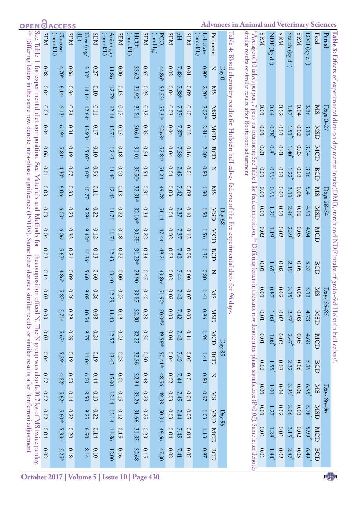OPEN OACCESS

<span id="page-5-1"></span><span id="page-5-0"></span>**Advances in Animal and Veterinary Sciences**

| abc<br>See Table                                                                                           | <b>NES</b>       | $(1)$ lomm $(1)$<br>Glucose | <b>NES</b>   | $\overline{\mathbb{T}}$<br>Urea (mg/ | <b>NER</b>   | $(1)$ lomm $)$<br>Anion gap | <b>NHS</b>   | (Thomm)<br><b>HCO-</b> | <b>NHS</b>   | $\rm (gHmm)$<br>PCO | <b>NEIS</b>      | $F_{\rm H}$       | <b>NHS</b>   | (Thoma)<br>-lactate | Parameter      |                   | Table                                                                                      | similar results or similar results after Bonferroni adjustment        | <b>NHS</b>  | $NDE$ $(kg$ d <sup>-1</sup> ) | <b>NHS</b> | Starch ( $kg d^{-1}$ ) | <b>SEM</b>  | DMI (kg            | Feed       | <b>Table 3:</b> Effects of experimental diets on dry matter intake(DMI), starch and NDF intake of grain-fed Holstein bull calves*<br>Period |
|------------------------------------------------------------------------------------------------------------|------------------|-----------------------------|--------------|--------------------------------------|--------------|-----------------------------|--------------|------------------------|--------------|---------------------|------------------|-------------------|--------------|---------------------|----------------|-------------------|--------------------------------------------------------------------------------------------|-----------------------------------------------------------------------|-------------|-------------------------------|------------|------------------------|-------------|--------------------|------------|---------------------------------------------------------------------------------------------------------------------------------------------|
| Differing letters in the same row denote intra-phase significance ( $P < 0.05$ ). Same letter denotes simi | 80.0             | 4.70 <sup>b</sup>           | 90.0         | 3.32 <sup>b</sup>                    | 0.27         | 11.86                       | 0.00         | 33.62                  | <b>0.65</b>  | 44.86 <sup>b</sup>  | 0.02             | 7.48 <sup>a</sup> | 0.01         | 0.90 <sup>b</sup>   | Z              | $\mathrm{Day}\,0$ | 4: Blood chemistry results for Holstein bull calves fed one of the five experimental diets | Average of $10$ calves per pen, $7$ pens                              |             |                               |            |                        |             | $q^{-1}$           |            |                                                                                                                                             |
| for experimental diet composition.                                                                         | 0.04             | 6.14 <sup>a</sup>           | 0.34         | 14.14 <sup>a</sup>                   | 0.10         | 12.79                       | 0.13         | 31.92                  | 0.23         | 53.53 <sup>a</sup>  | 0.04             | 7.38 <sup>b</sup> | 60.0         | $2.20^{\text{ab}}$  | <b>NS</b>      |                   |                                                                                            |                                                                       |             |                               |            |                        |             |                    |            |                                                                                                                                             |
|                                                                                                            | 0.03             | 6.13ª                       | 0.24         | 12.64 <sup>a</sup>                   | 0.11         | 12.14                       | 0.17         | 31.81                  | 0.32         | 55.31ª              | 0.03             | 7.37 <sup>b</sup> | 0.10         | 2.02 <sup>ab</sup>  | <b>CSM</b>     |                   |                                                                                            |                                                                       | 0.01        | 0.64                          | $0.02\,$   | 1.87                   | $0.04\,$    | 3.36               | <b>NIS</b> | $Days 0-27$                                                                                                                                 |
|                                                                                                            | 0.04             | 6.19 <sup>a</sup>           | 0.31         | 13.93ª                               | 717          | 13.71                       | 0.15         | 30.64                  | 0.33         | 52.68ª              | 0.04             | 7.37 <sup>b</sup> | 0.13         | 2.81 <sup>a</sup>   | <b>MCD</b>     |                   |                                                                                            | per treatment; See                                                    | 0.01        | 0.78 <sup>°</sup>             | $0.01\,$   | 1.51 <sup>b</sup>      | 0.02        | 3.13               | <b>USD</b> |                                                                                                                                             |
|                                                                                                            | 90.0             | 5.81 <sup>a</sup>           | 0.19         | 15.07 <sup>a</sup>                   | 0.10         | 12.43                       | 0.18         | 31.01                  | 0.31         | 52.81 <sup>a</sup>  | 0.04             | 7.38 <sup>b</sup> | 0.16         | 2.20 <sup>a</sup>   | BCD            |                   |                                                                                            |                                                                       | 0.01        | 0.8 <sup>b</sup>              | $10.01\,$  | 1.40 <sup>b</sup>      | 0.03        | 3.14               | MCD        |                                                                                                                                             |
| See Materials                                                                                              | 0.01             | 4.30 <sup>b</sup>           | 0.07         | 3.60 <sup>b</sup>                    | 960          | 11.40                       | 0.00         | 35.50ª                 | 0.54         | 51.24               | 0.04             | 7.45              | 0.01         | 0.80                | Z              |                   |                                                                                            | <b>Table</b>                                                          | $10.01$     | 0.99ª                         | $10.01$    | 1.22 <sup>o</sup>      | 0.03        | 3.16               | BCD        |                                                                                                                                             |
|                                                                                                            | 0.03             | 6.06ª                       | 0.33         | 10.77                                | 0.11         | 12.43                       | 0.18         | $32.31$ <sup>ab</sup>  | 0.31         | 49.78               | 0.03             | 7.42              | 60.0         | 1.30                | <b>SIN</b>     |                   |                                                                                            | for teed                                                              | <b>0.01</b> | 660                           | 0.03       | 3.11                   | 0.05        | 5.4                | <b>NIS</b> | Days 28–54                                                                                                                                  |
| and Methods for                                                                                            | 0.03             | 6.03                        | 0.23         | 9.79ª                                | 0.22         | 17.71                       | 0.22         | 32.16 <sup>at</sup>    | 0.34         | 51.14               | $0.04\,$         | 7.37              | 0.10         | 1.50                | <b>CSM</b>     | <b>Day 68</b>     |                                                                                            | composition; <sup>abc</sup>                                           | $0.01$      | 1.20 <sup>o</sup>             | $0.01\,$   | 2.46 <sup>b</sup>      | 0.02        | 4.91               | <b>USD</b> |                                                                                                                                             |
|                                                                                                            | 0.04             | 6.06 <sup>a</sup>           | 0.33         | $9.42^{ab}$                          | 0.12         | 17.71                       | 810          | 30.58 <sup>b</sup>     | 0.22         | 47.44               | 0.02             | 7.37              | 0.13         | 1.56                | MCD            |                   |                                                                                            |                                                                       | 0.02        | 1.19 <sup>°</sup>             | 0.02       | 2.39 <sup>p</sup>      | 0.05        | 4.94               | MCD        |                                                                                                                                             |
|                                                                                                            | 0.03             | 5.67ª                       | 0.21         | 11.36                                | 0.13         | 12.43                       | 0.22         | 31.23 <sup>ab</sup>    | 0.34         | 49.21               | 0.03             | 7.42              | 600          | 1.30                | BCD            |                   |                                                                                            | Differing letters                                                     | <b>LO:0</b> | 1.65 <sup>ª</sup>             | 0.02       | 2.19 <sup>b</sup>      | <b>0.05</b> | 5.37               | BCD        |                                                                                                                                             |
|                                                                                                            | 0.14             | 4.86                        | 60.0         | 5.60                                 | 0.60         | 13.40                       | 0.00         | 29.90                  | 0.45         | 43.86 <sup>b</sup>  | 0.02             | 7.44              | 0.00         | 0.80                | Z              |                   |                                                                                            |                                                                       |             |                               |            |                        |             |                    |            |                                                                                                                                             |
|                                                                                                            | 0.03             | 5.87                        | 0.26         | 9.08                                 | 0.26         | 12.29                       | 0.27         | 33.87                  | 0.40         | 51.90               | 0.02             | 7.42              | 0.07         | 1.41                | <b>NIS</b>     |                   | for 96<br>days.                                                                            | in the<br>šč                                                          | 0.01        | 0.87                          | 0.02       | 3.15                   | 0.05        | 5.13               | <b>NIS</b> | <b>Days 55-85</b>                                                                                                                           |
|                                                                                                            | $0.03\,$         | 5.71 <sup>a</sup>           | 0.29         | 10.54                                | 0.08         | 11.43                       | 0.19         | 32.30                  | 0.28         | $20.0^{ab}2$        | $0.03\,$         | 7.42              | $0.03$       | 96.0                | <b>CISM</b>    |                   |                                                                                            |                                                                       | 0.01        | 1.08 <sup>o</sup>             | $0.02\,$   | $2.57^{b}$             | $0.03\,$    | 4.73               | <b>USN</b> |                                                                                                                                             |
|                                                                                                            | 0.03             | 5.67ª                       | 670          | 9.75                                 | 0.24         | 12.57                       | 0.23         | 32.22                  | 0.30         | 49.56 <sup>ab</sup> | 0.04             | 7.42              | 0.11         | 1.96                | <b>MCD</b>     | Day 85            |                                                                                            |                                                                       | 0.01        | 1.08 <sup>b</sup>             | $0.02$     | $2.47^{\rm b}$         | 0.05        | 4.68               | <b>MCD</b> |                                                                                                                                             |
| lar results or similar results after Bonferroni adjustment                                                 | 0.04             | 5.39 <sup>ab</sup>          | 0.19         | 11.04                                | 0.19         | 13.43                       | 0.23         | 32.36                  | 0.30         | $50.41^{ab}$        | 0.04             | 7.42              | 0.05         | $1.41\,$            | <b>BCD</b>     |                   |                                                                                            |                                                                       | 0.02        | 1.55 <sup>a</sup>             | 0.03       | $2.32^b$               | 90.0        | 5.19               | <b>BCD</b> |                                                                                                                                             |
|                                                                                                            | 0.07             | 4.82 <sup>b</sup>           | $0.03\,$     | 00.9                                 | 0.44         | 15.00                       | $0.01\,$     | 32.94                  | $0.48$       | 48.56               | $0.02\,$         | 7.44              | 0.0          | 0.80                | Z              |                   |                                                                                            |                                                                       | $10.01$     | 1.01 <sup>°</sup>             | $0.04\,$   | $3.99^{4}$             | 90.0        | 6.55               | <b>SIN</b> |                                                                                                                                             |
|                                                                                                            | 0.02<br>$0.02\,$ | 5.62ª                       | 0.14<br>0.22 | 8.50<br>9.25                         | 0.13<br>0.22 | 12.14                       | 0.15<br>0.12 | 33.26                  | 0.23<br>0.25 | 49.38               | 0.03<br>$0.03\,$ | 7.45<br>7.44      | 0.04<br>0.05 | 76.0<br>$1.03\,$    | <b>NS</b>      |                   |                                                                                            |                                                                       | <b>LO.0</b> | $1.27$ <sup>b</sup>           | 0.02       | 3.06 <sup>o</sup>      | 0.03        | $5.78^{b}$         | <b>CSM</b> | Days 86-96                                                                                                                                  |
|                                                                                                            | 0.04             | $5.60^{ab}$<br>$5.33^{ab}$  | 0.20         | 6.50                                 | 0.14         | 13.14<br>11.86              | 0.15         | 31.66<br>31.35         | 0.23         | 50.31<br>46.66      | 0.04             | 7.45              | 0.04         | 1.13                | <b>MSD MCD</b> | Day96             |                                                                                            |                                                                       | $0.01$      | 1.28 <sup>b</sup>             | $10.01\,$  | 3.15 <sup>b</sup>      | $0.02\,$    | 5.99 <sup>ab</sup> | <b>NCD</b> |                                                                                                                                             |
| the composition offeed N. The N group was also fed0.7 kg of MS twice perday                                | 0.02             | $5.25^{ab}$                 | 0.18         | 8.14                                 | 0.10         | 12.00                       | 0.16         | 32.68                  | 0.15         | 47.30               | 0.02             | 7.41              | 0.05         | 0.97                | <b>BCD</b>     |                   |                                                                                            | ame row denote intra-phase significance (P<0.05). Same letter denotes | 0.01        | 1.84                          | 0.02       | 2.87                   | 0.05        | 6.49 <sup>a</sup>  | <b>BCD</b> |                                                                                                                                             |
|                                                                                                            |                  |                             |              |                                      |              |                             |              |                        |              |                     |                  |                   |              |                     |                |                   |                                                                                            |                                                                       |             |                               |            |                        |             |                    |            |                                                                                                                                             |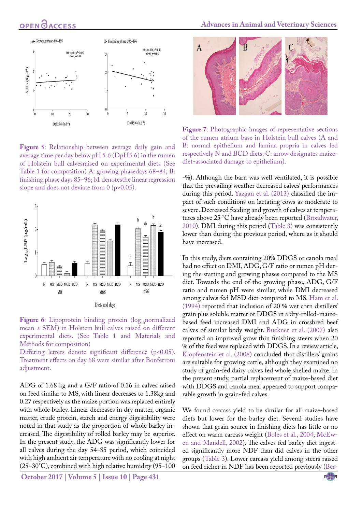

**Figure 5**: Relationship between average daily gain and average time per day below pH 5.6 (DpH5.6) in the rumen of Holstein bull calvesraised on experimental diets (See Table 1 for composition) A: growing phasedays 68–84; B: finishing phase days 85–96; b1 denotesthe linear regression slope and does not deviate from 0 (p>0.05).



Figure 6: Lipoprotein binding protein (log<sub>10</sub>normalized) mean ± SEM) in Holstein bull calves raised on different experimental diets. (See Table 1 and Materials and Methods for composition)

Differing letters denote significant difference (p<0.05). Treatment effects on day 68 were similar after Bonferroni adjustment.

ADG of 1.68 kg and a G/F ratio of 0.36 in calves raised on feed similar to MS, with linear decreases to 1.38kg and 0.27 respectively as the maize portion was replaced entirely with whole barley. Linear decreases in dry matter, organic matter, crude protein, starch and energy digestibility were noted in that study as the proportion of whole barley increased. The digestibility of rolled barley may be superior. In the present study, the ADG was significantly lower for all calves during the day 54–85 period, which coincided with high ambient air temperature with no cooling at night (25–30°C), combined with high relative humidity (95–100

**October 2017 | Volume 5 | Issue 10 | Page 431**



<span id="page-6-0"></span>**Figure 7**: Photographic images of representative sections of the rumen atrium base in Holstein bull calves (A and B: normal epithelium and lamina propria in calves fed respectively N and BCD diets; C: arrow designates maizediet-associated damage to epithelium).

-%). Although the barn was well ventilated, it is possible that the prevailing weather decreased calves' performances during this period. [Yazgan et al. \(2013\)](#page-10-0) classified the impact of such conditions on lactating cows as moderate to severe. Decreased feeding and growth of calves at temperatures above 25 °C have already been reported [\(Broadwater,](#page-8-5)  [2010](#page-8-5)). DMI during this period ([Table 3\)](#page-5-0) was consistently lower than during the previous period, where as it should have increased.

In this study, diets containing 20% DDGS or canola meal had no effect on DMI, ADG, G/F ratio or rumen pH during the starting and growing phases compared to the MS diet. Towards the end of the growing phase, ADG, G/F ratio and rumen pH were similar, while DMI decreased among calves fed MSD diet compared to MS. [Ham et al.](#page-9-5)  [\(1994\)](#page-9-5) reported that inclusion of 20 % wet corn distillers' grain plus soluble matter or DDGS in a dry-rolled-maizebased feed increased DMI and ADG in crossbred beef calves of similar body weight. [Buckner et al. \(2007\)](#page-8-1) also reported an improved grow thin finishing steers when 20 % of the feed was replaced with DDGS. In a review article, [Klopfenstein et al. \(2008\) c](#page-9-6)oncluded that distillers' grains are suitable for growing cattle, although they examined no study of grain-fed dairy calves fed whole shelled maize. In the present study, partial replacement of maize-based diet with DDGS and canola meal appeared to support comparable growth in grain-fed calves.

We found carcass yield to be similar for all maize-based diets but lower for the barley diet. Several studies have shown that grain source in finishing diets has little or no effect on warm carcass weight [\(Boles et al., 2004](#page-8-6); [McEw](#page-9-7)[en and Mandell, 2002](#page-9-7)). The calves fed barley diet ingested significantly more NDF than did calves in the other groups ([Table 3](#page-5-0)). Lower carcass yield among steers raised on feed richer in NDF has been reported previously ([Ber-](#page-8-7)

NE**X**US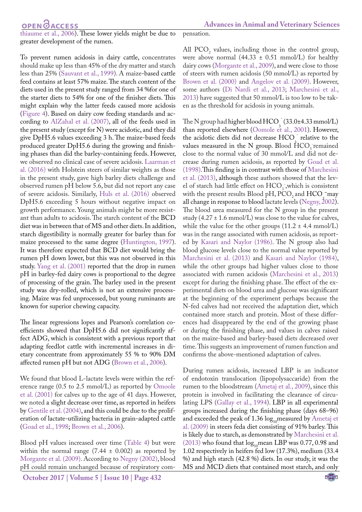**Advances in Animal and Veterinary Sciences**

[thiaume et al., 2006\)](#page-8-7). These lower yields might be due to greater development of the rumen.

To prevent rumen acidosis in dairy cattle, concentrates should make up less than 45% of the dry matter and starch less than 25% (Sauvant et al., 1999). A maize-based cattle feed contains at least 57% maize. The starch content of the diets used in the present study ranged from 34 %for one of the starter diets to 54% for one of the finisher diets. This might explain why the latter feeds caused more acidosis (Figure 4). Based on dairy cow feeding standards and according to [AlZahal et al. \(2007\),](#page-8-8) all of the feeds used in the present study (except for N) were acidotic, and they did give DpH5.6 values exceeding 3 h. The maize-based feeds produced greater DpH5.6 during the growing and finishing phases than did the barley-containing feeds. However, we observed no clinical case of severe acidosis. [Laarman et](#page-9-8)  [al. \(2016\)](#page-9-8) with Holstein steers of similar weights as those in the present study, gave high barley diets challenge and observed rumen pH below 5.6, but did not report any case of severe acidosis. Similarly, [Huls et al. \(2016\)](#page-9-9) observed DpH5.6 exceeding 5 hours without negative impact on growth performance. Young animals might be more resistant than adults to acidosis. The starch content of the BCD diet was in between that of MS and other diets. In addition, starch digestibility is normally greater for barley than for maize processed to the same degree [\(Huntington, 1997](#page-9-10)). It was therefore expected that BCD diet would bring the rumen pH down lower, but this was not observed in this study. [Yang et al. \(2001\)](#page-10-1) reported that the drop in rumen pH in barley-fed dairy cows is proportional to the degree of processing of the grain. The barley used in the present study was dry-rolled, which is not an extensive processing. Maize was fed unprocessed, but young ruminants are known for superior chewing capacity.

The linear regressions lopes and Pearson's correlation coefficients showed that DpH5.6 did not significantly affect ADG, which is consistent with a previous report that adapting feedlot cattle with incremental increases in dietary concentrate from approximately 55 % to 90% DM affected rumen pH but not ADG [\(Brown et al., 2006](#page-8-9)).

We found that blood L-lactate levels were within the reference range (0.5 to 2.5 mmol/L) as reported by [Omoole](#page-9-11)  [et al. \(2001\)](#page-9-11) for calves up to the age of 41 days. However, we noted a slight decrease over time, as reported in heifers by [Gentile et al. \(2004\)](#page-9-12), and this could be due to the proliferation of lactate-utilizing bacteria in grain-adapted cattle ([Goad et al., 1998;](#page-9-13) [Brown et al., 2006](#page-8-9)).

Blood pH values increased over time ([Table 4](#page-5-1)) but were within the normal range  $(7.44 \pm 0.002)$  as reported by [Morgante et al. \(2009\)](#page-9-14). According to Negny (2002), blood pH could remain unchanged because of respiratory com-

**October 2017 | Volume 5 | Issue 10 | Page 432**

pensation.

All PCO<sub>2</sub> values, including those in the control group, were above normal  $(44.33 \pm 0.51 \text{ mmol/L})$  for healthy dairy cows [\(Morgante et al., 2009](#page-9-14)), and were close to those of steers with rumen acidosis (50 mmol/L) as reported by [Brown et al. \(2000\)](#page-8-10) and [Angelov et al. \(2009\).](#page-8-11) However, some authors ([Di Nardi et al., 2013](#page-8-12); [Marchesini et al.,](#page-9-15) [2013\)](#page-9-15) have suggested that 50 mmol/L is too low to be taken as the threshold for acidosis in young animals.

The N group had higher blood  $HCO<sup>-3</sup>$  (33.0±4.33 mmol/L) than reported elsewhere ([Oomole et al., 2001](#page-9-11)). However, the acidotic diets did not decrease  $HCO<sub>3</sub>$  relative to the values measured in the N group. Blood  $HCO<sub>3</sub>$  remained close to the normal value of 30 mmol/L and did not decrease during rumen acidosis, as reported by [Goad et al.](#page-9-13) [\(1998\)](#page-9-13).This finding is in contrast with those of [Marchesini](#page-9-15) [et al. \(2013\)](#page-9-15), although these authors showed that the level of starch had little effect on  $HCO_3$ , which is consistent with the present results Blood pH,  $PCO<sub>2</sub>$  and  $HCO<sup>-</sup>$  may all change in response to blood lactate levels (Negny, 2002). The blood urea measured for the N group in the present study (4.27  $\pm$  1.6 mmol/L) was close to the value for calves, while the value for the other groups  $(11.2 \pm 4.4 \text{ mmol/L})$ was in the range associated with rumen acidosis, as reported by [Kasari and Naylor \(1986\).](#page-9-16) The N group also had blood glucose levels close to the normal value reported by [Marchesini et al. \(2013\)](#page-9-15) and [Kasari and Naylor \(1984\)](#page-9-17), while the other groups had higher values close to those associated with rumen acidosis ([Marchesini et al., 2013\)](#page-9-15) except for during the finishing phase. The effect of the experimental diets on blood urea and glucose was significant at the beginning of the experiment perhaps because the N-fed calves had not received the adaptation diet, which contained more starch and protein. Most of these differences had disappeared by the end of the growing phase or during the finishing phase, and values in calves raised on the maize-based and barley-based diets decreased over time. This suggests an improvement of rumen function and confirms the above-mentioned adaptation of calves.

During rumen acidosis, increased LBP is an indicator of endotoxin translocation (lipopolysaccaride) from the rumen to the bloodstream ([Ametaj et al., 2009\)](#page-8-13), since this protein is involved in facilitating the clearance of circulating LPS ([Gallay et al., 1994\)](#page-9-18). LBP in all experimental groups increased during the finishing phase (days 68–96) and exceeded the peak of 1.36  $log_{10}$ measured by [Ametaj et](#page-8-13) [al. \(2009\)](#page-8-13) in steers feda diet consisting of 91% barley. This is likely due to starch, as demonstrated by [Marchesini et al.](#page-9-15) [\(2013\) w](#page-9-15)ho found that  $log_{10}$ mean LBP was 0.77, 0.98 and 1.02 respectively in heifers fed low (17.3%), medium (33.4 %) and high starch (42.8 %) diets. In our study, it was the MS and MCD diets that contained most starch, and only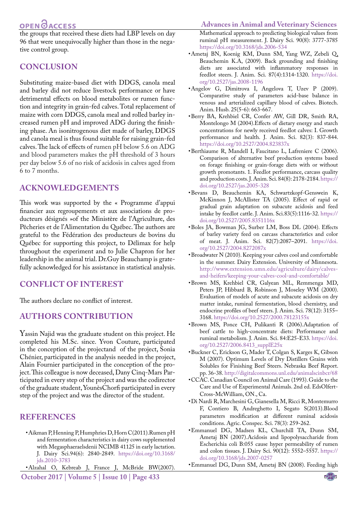## OPEN **OACCESS**

the groups that received these diets had LBP levels on day 96 that were unequivocally higher than those in the negative control group.

## **Conclusion**

Substituting maize-based diet with DDGS, canola meal and barley did not reduce livestock performance or have detrimental effects on blood metabolites or rumen function and integrity in grain-fed calves. Total replacement of maize with corn DDGS, canola meal and rolled barley increased rumen pH and improved ADG during the finishing phase. An isonitrogenous diet made of barley, DDGS and canola meal is thus found suitable for raising grain-fed calves. The lack of effects of rumen pH below 5.6 on ADG and blood parameters makes the pH threshold of 3 hours per day below 5.6 of no risk of acidosis in calves aged from 6 to 7 months.

## **Acknowledgements**

This work was supported by the « Programme d'appui financier aux regroupements et aux associations de producteurs désignés »of the Ministère de l'Agriculture, des Pêcheries et de l'Alimentation du Québec. The authors are grateful to the Fédération des producteurs de bovins du Québec for supporting this project, to Délimax for help throughout the experiment and to Julie Chapron for her leadership in the animal trial. Dr.Guy Beauchamp is gratefully acknowledged for his assistance in statistical analysis.

### **Conflict of interest**

The authors declare no conflict of interest.

## **Authors Contribution**

Yassin Najid was the graduate student on this project. He completed his M.Sc. since. Yvon Couture, participated in the conception of the projectand of the project, Sonia Chénier, participated in the analysis needed in the project, Alain Fournier participated in the conception of the project. This colleague is now deceased, Dany Cinq-Mars Participated in every step of the project and was the codirector of the graduate student, YounèsChorfi participated in every step of the project and was the director of the student.

#### **References**

<span id="page-8-3"></span>• Aikman P, [Henning](http://www.ncbi.nlm.nih.gov/pubmed?term=Henning PH%5BAuthor%5D&cauthor=true&cauthor_uid=21605754) P, [Humphries](http://www.ncbi.nlm.nih.gov/pubmed?term=Humphries DJ%5BAuthor%5D&cauthor=true&cauthor_uid=21605754) D, Horn C(2011).Rumen pH and fermentation characteristics in dairy cows supplemented with Megasphaeraelsdenii NCIMB 41125 in early lactation. [J. Dairy Sci.](http://www.ncbi.nlm.nih.gov/pubmed/21605754)94(6): 2840-2849. [https://doi.org/10.3168/](https://doi.org/10.3168/jds.2010-3783 ) [jds.2010-3783](https://doi.org/10.3168/jds.2010-3783 )

<span id="page-8-8"></span>**October 2017 | Volume 5 | Issue 10 | Page 433** • Alzahal O, Kebreab J, France J, McBride BW(2007).

#### **Advances in Animal and Veterinary Sciences**

Mathematical approach to predicting biological values from ruminal pH measurement. J. Dairy Sci. 90(8): 3777-3785 [https://doi.org/10.3168/jds.2006-534](https://doi.org/10.3168/jds.2006-534 )

- <span id="page-8-13"></span>• Ametaj BN, Koenig KM, Dunn SM, Yang WZ, Zebeli Q, Beauchemin K.A, (2009). Back grounding and finishing diets are associated with inflammatory responses in feedlot steers. J. Anim. Sci. 87(4):1314-1320. [https://doi.](https://doi.org/10.2527/jas.2008-1196 ) [org/10.2527/jas.2008-1196](https://doi.org/10.2527/jas.2008-1196 )
- <span id="page-8-11"></span>• Angelov G, Dimitrova I, Angelova T, Uzev P (2009). Comparative study of parameters acid-base balance in venous and arterialized capillary blood of calves. Biotech. Anim. Husb. 25(5-6): 663-667.
- <span id="page-8-0"></span>• Berry BA, Krehbiel CR, Confer AW, Gill DR, Smith RA, Montelongo M (2004).Effects of dietary energy and starch concentrations for newly received feedlot calves: I. Growth performance and health. J. Anim. Sci. 82(3): 837-844. [https://doi.org/10.2527/2004.823837x](https://doi.org/10.2527/2004.823837x )
- <span id="page-8-7"></span>• Berthiaume R, Mandell I, Faucitano L, Lafreniere C (2006). Comparison of alternative beef production systems based on forage finishing or grain-forage diets with or without growth promotants. 1. Feedlot performance, carcass quality and production costs. J. Anim. Sci. 84(8): 2178-2184. [https://](https://doi.org/10.2527/jas.2005-328 ) [doi.org/10.2527/jas.2005-328](https://doi.org/10.2527/jas.2005-328 )
- <span id="page-8-4"></span>• [Bevans D,](http://www.ncbi.nlm.nih.gov/pubmed?term=Bevans DW%5BAuthor%5D&cauthor=true&cauthor_uid=15827257) [Beauchemin](http://www.ncbi.nlm.nih.gov/pubmed?term=Beauchemin KA%5BAuthor%5D&cauthor=true&cauthor_uid=15827257) KA, [Schwartzkopf-Genswein](http://www.ncbi.nlm.nih.gov/pubmed?term=Schwartzkopf-Genswein KS%5BAuthor%5D&cauthor=true&cauthor_uid=15827257) K, [McKinnon](http://www.ncbi.nlm.nih.gov/pubmed?term=McKinnon JJ%5BAuthor%5D&cauthor=true&cauthor_uid=15827257) J, [McAllister](http://www.ncbi.nlm.nih.gov/pubmed?term=McAllister TA%5BAuthor%5D&cauthor=true&cauthor_uid=15827257) TA (2005). Effect of rapid or gradual grain adaptation on subacute acidosis and feed intake by feedlot cattle. [J. Anim. Sci.8](http://www.ncbi.nlm.nih.gov/pubmed/15827257)3(5):1116-32[. https://]( https://doi.org/10.2527/2005.8351116x ) [doi.org/10.2527/2005.8351116x]( https://doi.org/10.2527/2005.8351116x )
- <span id="page-8-6"></span>• Boles JA, Bowman JG, Surber LM, Boss DL (2004). Effects of barley variety feed on carcass characteristics and color of meat. J. Anim. Sci. 82(7):2087–2091. [https://doi.](https://doi.org/10.2527/2004.8272087x ) [org/10.2527/2004.8272087x](https://doi.org/10.2527/2004.8272087x )
- <span id="page-8-5"></span>• Broadwater N (2010). Keeping your calves cool and comfortable in the summer. Dairy Extension. University of Minnesota. [http://www.extension.umn.edu/agriculture/dairy/calves](http://www.extension.umn.edu/agriculture/dairy/calves-and-heifers/keeping-your-calves-cool-and-comfortable/)[and-heifers/keeping-your-calves-cool-and-comfortable/](http://www.extension.umn.edu/agriculture/dairy/calves-and-heifers/keeping-your-calves-cool-and-comfortable/)
- <span id="page-8-10"></span>• Brown MS, Krehbiel CR, Galyean ML, Remmenga MD, Peters JP, Hibbard B, Robinson J, Moseley WM (2000). Evaluation of models of acute and subacute acidosis on dry matter intake, ruminal fermentation, blood chemistry, and endocrine profiles of beef steers. J. Anim. Sci. 78(12): 3155– 3168. [https://doi.org/10.2527/2000.78123155x](https://doi.org/10.2527/2000.78123155x )
- <span id="page-8-9"></span>• Brown MS, Ponce CH, Pulikanti R (2006).Adaptation of beef cattle to high-concentrate diets: Performance and ruminal metabolism. J. Anim. Sci. 84:E25-E33[. https://doi.]( https://doi.org/10.2527/2006.8413_supplE25x ) [org/10.2527/2006.8413\\_supplE25x]( https://doi.org/10.2527/2006.8413_supplE25x )
- <span id="page-8-1"></span>• Buckner C, Erickson G, Mader T, Colgan S, Karges K, Gibson M (2007). Optimum Levels of Dry Distillers Grains with Solubles for Finishing Beef Steers. Nebraska Beef Report. pp. 36-38.<http://digitalcommons.unl.edu/animalscinbcr/68>
- <span id="page-8-2"></span>• CCAC. Canadian Council on Animal Care (1993). Guide to the Care and Use of Experimental Animals. 2nd ed. EdsOlfert-Cross-McWilliam, ON., Ca.
- <span id="page-8-12"></span>• Di Nardi R, Marchesini G, Gianesella M, Ricci R, Montemurro F, Contiero B, Andreghetto I, Segato S(2013).Blood parameters modification at different ruminal acidosis conditions. Agric. Conspec. Sci. 78(3): 259-262.
- • Emmanuel DG, Madsen KL, Churchill TA, Dunn SM, Ametaj BN (2007).Acidosis and lipopolysaccharide from Escherichia coli B:055 cause hyper permeability of rumen and colon tissues. J. Dairy Sci. 90(12): 5552–5557. [https://](https://doi.org/10.3168/jds.2007-0257 ) [doi.org/10.3168/jds.2007-0257](https://doi.org/10.3168/jds.2007-0257 )
- • Emmanuel DG, Dunn SM, Ametaj BN (2008). Feeding high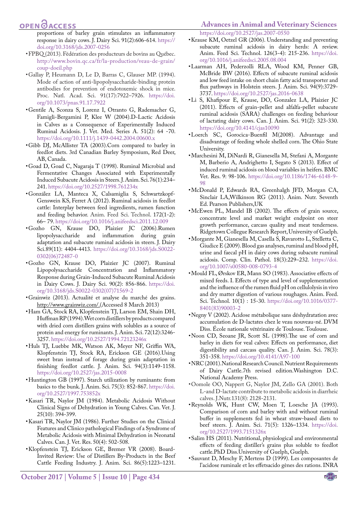## **OPEN**OACCESS

proportions of barley grain stimulates an inflammatory response in dairy cows. J. Dairy Sci. 91(2):606-614. [https://](https://doi.org/10.3168/jds.2007-0256 ) [doi.org/10.3168/jds.2007-0256](https://doi.org/10.3168/jds.2007-0256 )

- • FPBQ (2013). Fédération des producteurs de bovins au Québec. http://www.bovin.qc.ca/fr/la-production/veau-de-grain/ coup-doeil.php
- <span id="page-9-18"></span>• Gallay P, Heumann D, Le D, Barras C, Glauser MP. (1994). Mode of action of anti-lipopolysaccharide-binding protein antibodies for prevention of endotoxemic shock in mice. Proc. Natl. Acad. Sci. 91(17):7922–7926. [https://doi.](https://doi.org/10.1073/pnas.91.17.7922 ) [org/10.1073/pnas.91.17.7922](https://doi.org/10.1073/pnas.91.17.7922 )
- <span id="page-9-12"></span>• Gentile A, Sconza S, Lorenz I, Otranto G, Rademacher G, Famigli-Bergamini P, Klee W (2004).D-Lactic Acidosis in Calves as a Consequence of Experimentally Induced Ruminal Acidosis. J. Vet. Med. Series A. 51(2): 64 -70. [https://doi.org/10.1111/j.1439-0442.2004.00600.x](https://doi.org/10.1111/j.1439-0442.2004.00600.x )
- • [Gibb DJ, McAllister TA \(2003\)](http://www.sciencedirect.com/science/article/pii/S0377840107002799#bib15).Corn compared to barley in feedlot diets. 3rd Canadian Barley Symposium, Red Deer, AB, Canada.
- <span id="page-9-13"></span>• Goad D, Goad C, Nagaraja T (1998). Ruminal Microbial and Fermentative Changes Associated with Experimentally Induced Subacute Acidosis in Steers. J. Anim. Sci. 76(1):234– 241. [https://doi.org/10.2527/1998.761234x](https://doi.org/10.2527/1998.761234x )
- • González LA, Manteca X, Calsamiglia S, Schwartzkopf-Genswein KS, Ferret A (2012). Ruminal acidosis in feedlot cattle: Interplay between feed ingredients, rumen function and feeding behavior. Anim. Feed Sci. Technol. 172(1-2): 66– 79. [https://doi.org/10.1016/j.anifeedsci.2011.12.009](https://doi.org/10.1016/j.anifeedsci.2011.12.009 )
- • [Gozho GN](http://www.ncbi.nlm.nih.gov/pubmed?term=Gozho GN%5BAuthor%5D&cauthor=true&cauthor_uid=17033028), [Krause](http://www.ncbi.nlm.nih.gov/pubmed?term=Krause DO%5BAuthor%5D&cauthor=true&cauthor_uid=17033028) DO, [Plaizier](http://www.ncbi.nlm.nih.gov/pubmed?term=Plaizier JC%5BAuthor%5D&cauthor=true&cauthor_uid=17033028) JC (2006).Rumen lipopolysaccharide and inflammation during grain adaptation and subacute ruminal acidosis in steers. [J. Dairy](http://www.ncbi.nlm.nih.gov/pubmed/17033028) [Sci.](http://www.ncbi.nlm.nih.gov/pubmed/17033028)89(11): 4404-4413. [https://doi.org/10.3168/jds.S0022-](https://doi.org/10.3168/jds.S0022-0302(06)72487-0 ) [0302\(06\)72487-0](https://doi.org/10.3168/jds.S0022-0302(06)72487-0 )
- • [Gozho GN](http://www.ncbi.nlm.nih.gov/pubmed?term=Gozho GN%5BAuthor%5D&cauthor=true&cauthor_uid=17033028), [Krause](http://www.ncbi.nlm.nih.gov/pubmed?term=Krause DO%5BAuthor%5D&cauthor=true&cauthor_uid=17033028) DO, [Plaizier](http://www.ncbi.nlm.nih.gov/pubmed?term=Plaizier JC%5BAuthor%5D&cauthor=true&cauthor_uid=17033028) JC (2007). [Ruminal](http://www.sciencedirect.com/science/article/pii/S0022030207715692) [Lipopolysaccharide Concentration and Inflammatory](http://www.sciencedirect.com/science/article/pii/S0022030207715692) [Response during Grain-Induced Subacute Ruminal Acidosis](http://www.sciencedirect.com/science/article/pii/S0022030207715692) [in Dairy Cows.](http://www.sciencedirect.com/science/article/pii/S0022030207715692) J. Dairy Sci. 90(2): 856-866. [https://doi.](https://doi.org/10.3168/jds.S0022-0302(07)71569-2 ) [org/10.3168/jds.S0022-0302\(07\)71569-2](https://doi.org/10.3168/jds.S0022-0302(07)71569-2 )
- • Grainwiz (2013). Actualité et analyse du marché des grains. [http://www.grainwiz.com/.](http://www.grainwiz.com/)(Accessed 8 March 2013)
- <span id="page-9-5"></span>• Ham GA, Stock RA, Klopfenstein TJ, Larson EM, Shain DH, Huffman RP (1994). Wet corn distillers by products compared with dried corn distillers grains with solubles as a source of protein and energy for ruminants. J. Anim. Sci. 72(12):3246- 3257. [https://doi.org/10.2527/1994.72123246x](https://doi.org/10.2527/1994.72123246x )
- <span id="page-9-9"></span>• Huls TJ, Luebbe MK, Watson AK, Meyer NF, Griffin WA, Klopfenstein TJ, Stock RA, Erickson GE (2016).Using sweet bran instead of forage during grain adaptation in finishing feedlot cattle. J. Anim. Sci. 94(3):1149-1158. [https://doi.org/10.2527/jas.2015-0008](https://doi.org/10.2527/jas.2015-0008 )
- <span id="page-9-10"></span>• Huntington GB (1997). Starch utilization by ruminants: from basics to the bunk. J. Anim. Sci. 75(3): 852-867. [https://doi.](https://doi.org/10.2527/1997.753852x ) [org/10.2527/1997.753852x](https://doi.org/10.2527/1997.753852x )
- <span id="page-9-17"></span>• Kasari TR, Naylor JM (1984). Metabolic Acidosis Without Clinical Signs of Dehydration in Young Calves. Can. Vet. J. 25(10): 394-399.
- <span id="page-9-16"></span>• Kasari TR, Naylor JM (1986). Further Studies on the Clinical Features and Clinico pathological Findings of a Syndrome of Metabolic Acidosis with Minimal Dehydration in Neonatal Calves. Can. J. Vet. Res. 50(4): 502-508.
- <span id="page-9-6"></span>• Klopfenstein TJ, Erickson GE, Bremer VR (2008). Board-Invited Review: Use of Distillers By-Products in the Beef Cattle Feeding Industry. J. Anim. Sci. 86(5):1223–1231.

#### **Advances in Animal and Veterinary Sciences**

<span id="page-9-2"></span>[https://doi.org/10.2527/jas.2007-0550](https://doi.org/10.2527/jas.2007-0550 )

- • Krause KM, Oetzel GR (2006). Understanding and preventing subacute ruminal acidosis in dairy herds: A review. Anim. Feed Sci. Technol. 126(3-4): 215-236. [https://doi.](https://doi.org/10.1016/j.anifeedsci.2005.08.004 ) [org/10.1016/j.anifeedsci.2005.08.004](https://doi.org/10.1016/j.anifeedsci.2005.08.004 )
- <span id="page-9-8"></span>• Laarman AH, Pederzolli RLA, Wood KM, Penner GB, McBride BW (2016). Effects of subacute ruminal acidosis and low feed intake on short chain fatty acid transporter and flux pathways in Holstein steers. J. Anim. Sci. 94(9):3729- 3737. [https://doi.org/10.2527/jas.2016-0638](https://doi.org/10.2527/jas.2016-0638 )
- • Li S, Khafipour E, Krause, DO, Gonzalez LA, Plaizier JC (2011). Effects of grain-pellet and alfalfa-pellet subacute ruminal acidosis (SARA) challenges on feeding behaviour of lactating dairy cows. Can. J. Anim. Sci. 91(2): 323-330. [https://doi.org/10.4141/cjas10090](https://doi.org/10.4141/cjas10090 )
- <span id="page-9-0"></span>•Loerch SC, Gorocica-Buenfil M(2008). Advantage and disadvantage of feeding whole shelled corn. The Ohio State University.
- <span id="page-9-15"></span>• Marchesini M, DiNardi R, Gianesella M, Stefani A, Morgante M, Barberio A, Andrighetto I, Segato S (2013). Effect of induced ruminal acidosis on blood variables in heifers. BMC Vet. Res. 9: 98-106. [https://doi.org/10.1186/1746-6148-9-](https://doi.org/10.1186/1746-6148-9-98 ) [98](https://doi.org/10.1186/1746-6148-9-98 )
- <span id="page-9-1"></span>• McDonald P, Edwards RA, Greenhalgh JFD, Morgan CA, Sinclair LA,Wilkinson RG (2011). Anim. Nutr. Seventh Ed. Pearson Publishers,UK
- <span id="page-9-7"></span>• McEwen PL, Mandel IB (2002). The effects of grain source, concentrate level and market weight endpoint on steer growth performance, carcass quality and meat tenderness. Ridgetown Collegue Research Report, University of Guelph.
- <span id="page-9-14"></span>• Morgante M, Gianesella M, Casella S, Ravarotto L, Stelletta C, Giudice E (2009). Blood gas analyses, ruminal and blood pH, urine and faecal pH in dairy cows during subacute ruminal acidosis. Comp. Clin. Pathol. 18(3):229–232. [https://doi.](https://doi.org/10.1007/s00580-008-0793-4 ) [org/10.1007/s00580-008-0793-4](https://doi.org/10.1007/s00580-008-0793-4 )
- • Mould FL, Ørskov ER, Mann SO (1983). Associative effects of mixed feeds. I. Effects of type and level of supplementation and the influence of the rumen fluid pH on cellulolysis in vivo and dry matter digestion of various roughages. Anim. Feed. Sci. Technol. 10(1) : 15-30. [https://doi.org/10.1016/0377-](https://doi.org/10.1016/0377-8401(83)90003-2 ) [8401\(83\)90003-2](https://doi.org/10.1016/0377-8401(83)90003-2 )
- • Negny V (2002). Acidose métabolique sans déshydratation avec accumulation de D-lactates chez le veau nouveau-né. DVM Diss. École nationale vétérinaire de Toulouse. Toulouse.
- <span id="page-9-4"></span>• Noon CD, Seoane JR, Scott SL (1998).The use of corn and barley in diets for veal calves: Effects on performance, diet digestibility and carcass quality. Can. J. Anim. Sci. 78(3): 351-358. [https://doi.org/10.4141/A97-100](https://doi.org/10.4141/A97-100 )
- <span id="page-9-3"></span>• NRC (2001).National Research Council. Nutrient Requirements of Dairy Cattle.7th revised edition.Washington D.C. National Academy Press.
- <span id="page-9-11"></span>• Oomole OO, Nappert G, Naylor JM, Zello GA (2001). Both L-and D-lactate contribute to metabolic acidosis in diarrheic calves. J.Nutr.131(8): 2128-2131.
- • Reynolds WK, Hunt CW, Moen T, Loesche JA (1993). Comparison of corn and barley with and without ruminal buffer in supplements fed in wheat straw-based diets to beef steers. J. Anim. Sci. 71(5): 1326–1334. [https://doi.](https://doi.org/10.2527/1993.7151326x ) [org/10.2527/1993.7151326x](https://doi.org/10.2527/1993.7151326x )
- • Salim HS (2011). Nutritional, physiological and environmental effects of feeding distiller's grains plus soluble to feedlot cattle.PhD Diss.University of Guelph, Guelph.
- • Sauvant D, Meschy F, Mertens D (1999). Les composantes de l'acidose ruminale et les effetsacido gènes des rations. INRA